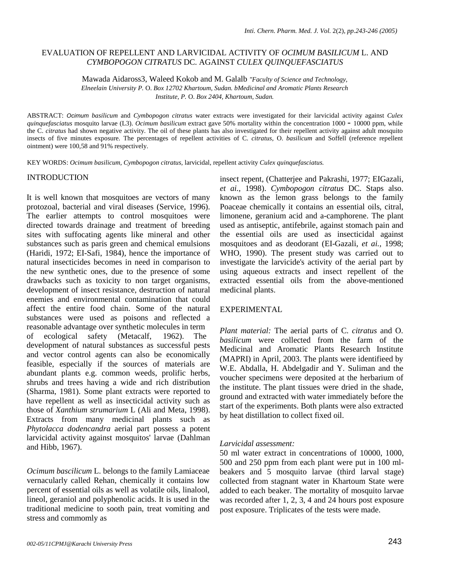# EVALUATION OF REPELLENT AND LARVICIDAL ACTIVITY OF *OCIMUM BASILICUM* L. AND *CYMBOPOGON CITRATUS* DC. AGAINST *CULEX QUINQUEFASCIATUS*

Mawada Aidaross3, Waleed Kokob and M. Galalb *"Faculty of Science and Technology, Elneelain University P.* O. *Box 12702 Khartoum, Sudan. bMedicinal and Aromatic Plants Research Institute, P.* O. *Box 2404, Khartoum, Sudan.* 

ABSTRACT: Ocimum *basilicum* and *Cymbopogon citratus* water extracts were investigated for their larvicidal activity against *Culex quinquefasciatus* mosquito larvae (L3). *Ocimum basilicum* extract gave 50% mortality within the concentration 1000 - 10000 ppm, while the C. *citratus* had shown negative activity. The oil of these plants has also investigated for their repellent activity against adult mosquito insects of five minutes exposure. The percentages of repellent activities of C. *citratus,* O. *basilicum* and Soffell (reference repellent ointment) were 100,58 and 91% respectively.

KEY WORDS: *Ocimum basilicum, Cymbopogon citratus,* larvicidal, repellent activity *Culex quinquefasciatus.* 

## INTRODUCTION

It is well known that mosquitoes are vectors of many protozoal, bacterial and viral diseases (Service, 1996). The earlier attempts to control mosquitoes were directed towards drainage and treatment of breeding sites with suffocating agents like mineral and other substances such as paris green and chemical emulsions (Haridi, 1972; EI-Safi, 1984), hence the importance of natural insecticides becomes in need in comparison to the new synthetic ones, due to the presence of some drawbacks such as toxicity to non target organisms, development of insect resistance, destruction of natural enemies and environmental contamination that could affect the entire food chain. Some of the natural substances were used as poisons and reflected a reasonable advantage over synthetic molecules in term of ecological safety (Metacalf, 1962). The development of natural substances as successful pests and vector control agents can also be economically feasible, especially if the sources of materials are abundant plants e.g. common weeds, prolific herbs, shrubs and trees having a wide and rich distribution (Sharma, 1981). Some plant extracts were reported to have repellent as well as insecticidal activity such as those of *Xanthium strumarium* L (Ali and Meta, 1998). Extracts from many medicinal plants such as *Phytolacca dodencandra* aerial part possess a potent larvicidal activity against mosquitos' larvae (Dahlman and Hibb, 1967).

*Ocimum bascilicum* L. belongs to the family Lamiaceae vernacularly called Rehan, chemically it contains low percent of essential oils as well as volatile oils, linalool, lineol, geraniol and polyphenolic acids. It is used in the traditional medicine to sooth pain, treat vomiting and stress and commomly as

insect repent, (Chatterjee and Pakrashi, 1977; EIGazali, *et ai.,* 1998). *Cymbopogon citratus* DC. Staps also. known as the lemon grass belongs to the family Poaceae chemically it contains an essential oils, citral, limonene, geranium acid and a-camphorene. The plant used as antiseptic, antifebrile, against stomach pain and the essential oils are used as insecticidal against mosquitoes and as deodorant (EI-Gazali, *et ai.,* 1998; WHO, 1990). The present study was carried out to investigate the larvicide's activity of the aerial part by using aqueous extracts and insect repellent of the extracted essential oils from the above-mentioned medicinal plants.

## EXPERIMENTAL

*Plant material:* The aerial parts of C. *citratus* and O. *basilicum* were collected from the farm of the Medicinal and Aromatic Plants Research Institute (MAPRI) in April, 2003. The plants were identifieed by W.E. Abdalla, H. Abdelgadir and Y. Suliman and the voucher specimens were deposited at the herbarium of the institute. The plant tissues were dried in the shade, ground and extracted with water immediately before the start of the experiments. Both plants were also extracted by heat distillation to collect fixed oil.

## *Larvicidal assessment:*

50 ml water extract in concentrations of 10000, 1000, 500 and 250 ppm from each plant were put in 100 mlbeakers and 5 mosquito larvae (third larval stage) collected from stagnant water in Khartoum State were added to each beaker. The mortality of mosquito larvae was recorded after 1, 2, 3, 4 and 24 hours post exposure post exposure. Triplicates of the tests were made.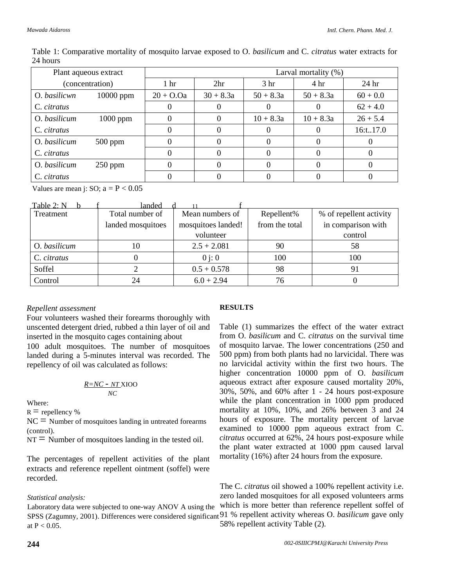| Table 1: Comparative mortality of mosquito larvae exposed to O. basilicum and C. citratus water extracts for |  |  |  |
|--------------------------------------------------------------------------------------------------------------|--|--|--|
| 24 hours                                                                                                     |  |  |  |

| Plant aqueous extract |             | Larval mortality (%) |                 |                 |                 |                  |  |
|-----------------------|-------------|----------------------|-----------------|-----------------|-----------------|------------------|--|
| (concentration)       |             | 1 <sub>hr</sub>      | 2 <sup>hr</sup> | 3 <sub>hr</sub> | 4 <sup>hr</sup> | 24 <sub>hr</sub> |  |
| O. basilicwn          | $10000$ ppm | $20 + O.$ Qa         | $30 + 8.3a$     | $50 + 8.3a$     | $50 + 8.3a$     | $60 + 0.0$       |  |
| C. citratus           |             |                      |                 |                 | 0               | $62 + 4.0$       |  |
| O. basilicum          | $1000$ ppm  | 0                    | $\theta$        | $10 + 8.3a$     | $10 + 8.3a$     | $26 + 5.4$       |  |
| C. citratus           |             |                      |                 |                 |                 | 16:t17.0         |  |
| O. basilicum          | $500$ ppm   |                      |                 |                 | $\cup$          |                  |  |
| C. citratus           |             |                      |                 |                 |                 |                  |  |
| O. basilicum          | $250$ ppm   |                      |                 | 0               | $\Box$          |                  |  |
| C. citratus           |             |                      |                 |                 |                 |                  |  |

Values are mean j: SO;  $a = P < 0.05$ 

| Table 2: N   | landed            |                    |                |                         |
|--------------|-------------------|--------------------|----------------|-------------------------|
| Treatment    | Total number of   | Mean numbers of    | Repellent%     | % of repellent activity |
|              | landed mosquitoes | mosquitoes landed! | from the total | in comparison with      |
|              |                   | volunteer          |                | control                 |
| O. basilicum |                   | $2.5 + 2.081$      | 90             | 58                      |
| C. citratus  |                   | $0$ i: 0           | 100            | 100                     |
| Soffel       |                   | $0.5 + 0.578$      | 98             | 91                      |
| Control      | 24                | $6.0 + 2.94$       | 76             |                         |

# *Repellent assessment*

Four volunteers washed their forearms thoroughly with unscented detergent dried, rubbed a thin layer of oil and inserted in the mosquito cages containing about 100 adult mosquitoes. The number of mosquitoes

landed during a 5-minutes interval was recorded. The repellency of oil was calculated as follows:

$$
\frac{R=NC-NT}{NC}
$$

Where:

 $R =$  repellency %

 $NC =$  Number of mosquitoes landing in untreated forearms (control).

 $NT =$  Number of mosquitoes landing in the tested oil.

The percentages of repellent activities of the plant extracts and reference repellent ointment (soffel) were recorded.

## *Statistical analysis:*

Laboratory data were subjected to one-way ANOV A using the SPSS (Zagumny, 2001). Differences were considered significant 91 % repellent activity whereas O. *basilicum* gave only at  $P < 0.05$ .

# **RESULTS**

Table (1) summarizes the effect of the water extract from O. *basilicum* and C. *citratus* on the survival time of mosquito larvae. The lower concentrations (250 and 500 ppm) from both plants had no larvicidal. There was no larvicidal activity within the first two hours. The higher concentration 10000 ppm of O. *basilicum*  aqueous extract after exposure caused mortality 20%, 30%, 50%, and 60% after 1 - 24 hours post-exposure while the plant concentration in 1000 ppm produced mortality at 10%, 10%, and 26% between 3 and 24 hours of exposure. The mortality percent of larvae examined to 10000 ppm aqueous extract from C. *citratus* occurred at 62%, 24 hours post-exposure while the plant water extracted at 1000 ppm caused larval mortality (16%) after 24 hours from the exposure.

The C. *citratus* oil showed a 100% repellent activity i.e. zero landed mosquitoes for all exposed volunteers arms which is more better than reference repellent soffel of 58% repellent activity Table (2).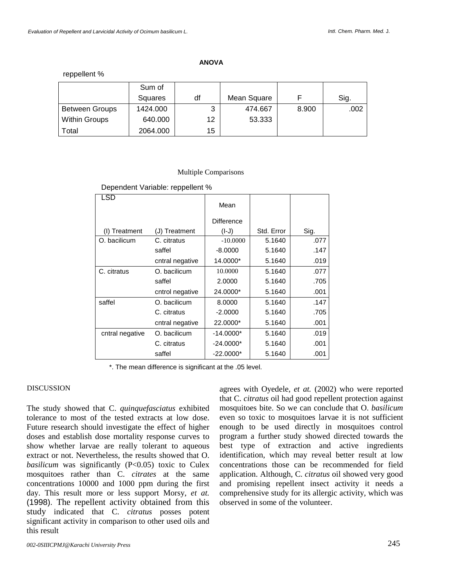reppellent %

|                       | Sum of   |    |             |       |      |
|-----------------------|----------|----|-------------|-------|------|
|                       | Squares  | df | Mean Square |       | Sig. |
| <b>Between Groups</b> | 1424.000 | 3  | 474.667     | 8.900 | .002 |
| <b>Within Groups</b>  | 640.000  | 12 | 53.333      |       |      |
| Total                 | 2064.000 | 15 |             |       |      |

#### Multiple Comparisons

Dependent Variable: reppellent %

| LSD             |                 | Mean        |            |      |
|-----------------|-----------------|-------------|------------|------|
|                 |                 | Difference  |            |      |
| Treatment       | (J) Treatment   | $(I-J)$     | Std. Error | Sig. |
| O. bacilicum    | C. citratus     | $-10.0000$  | 5.1640     | .077 |
|                 | saffel          | $-8.0000$   | 5.1640     | .147 |
|                 | cntral negative | 14.0000*    | 5.1640     | .019 |
| C. citratus     | O. bacilicum    | 10.0000     | 5.1640     | .077 |
|                 | saffel          | 2.0000      | 5.1640     | .705 |
|                 | cntrol negative | 24.0000*    | 5.1640     | .001 |
| saffel          | O. bacilicum    | 8.0000      | 5.1640     | .147 |
|                 | C. citratus     | $-2.0000$   | 5.1640     | .705 |
|                 | cntral negative | 22,0000*    | 5.1640     | .001 |
| cntral negative | O. bacilicum    | $-14.0000*$ | 5.1640     | .019 |
|                 | C. citratus     | $-24.0000*$ | 5.1640     | .001 |
|                 | saffel          | $-22.0000*$ | 5.1640     | .001 |

\*. The mean difference is significant at the .05 level.

## DISCUSSION

The study showed that C. *quinquefasciatus* exhibited tolerance to most of the tested extracts at low dose. Future research should investigate the effect of higher doses and establish dose mortality response curves to show whether larvae are really tolerant to aqueous extract or not. Nevertheless, the results showed that O. *basilicum* was significantly (P<0.05) toxic to Culex mosquitoes rather than C. *citrates* at the same concentrations 10000 and 1000 ppm during the first day. This result more or less support Morsy, *et at.*  (1998). The repellent activity obtained from this study indicated that C. *citratus* posses potent significant activity in comparison to other used oils and this result

agrees with Oyedele, *et at.* (2002) who were reported that C. *citratus* oil had good repellent protection against mosquitoes bite. So we can conclude that O. *basilicum*  even so toxic to mosquitoes larvae it is not sufficient enough to be used directly in mosquitoes control program a further study showed directed towards the best type of extraction and active ingredients identification, which may reveal better result at low concentrations those can be recommended for field application. Although, C. *citratus* oil showed very good and promising repellent insect activity it needs a comprehensive study for its allergic activity, which was observed in some of the volunteer.